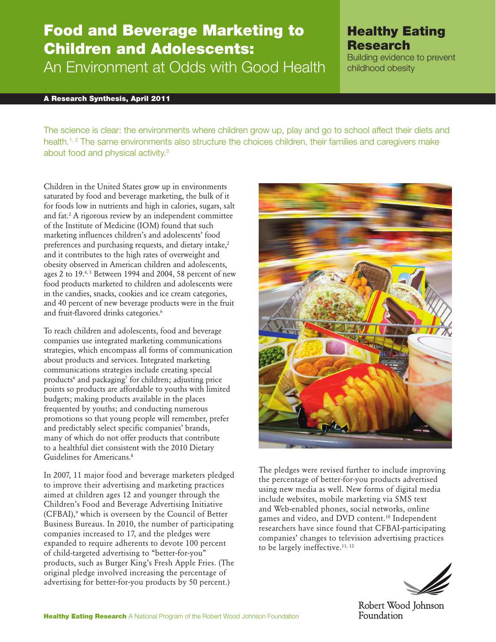# Food and Beverage Marketing to Children and Adolescents: An Environment at Odds with Good Health

# A Research Synthesis, April 2011

The science is clear: the environments where children grow up, play and go to school affect their diets and health.<sup>1, 2</sup> The same environments also structure the choices children, their families and caregivers make about food and physical activity.3

Children in the United States grow up in environments saturated by food and beverage marketing, the bulk of it for foods low in nutrients and high in calories, sugars, salt and fat.2 A rigorous review by an independent committee of the Institute of Medicine (IOM) found that such marketing influences children's and adolescents' food preferences and purchasing requests, and dietary intake,<sup>2</sup> and it contributes to the high rates of overweight and obesity observed in American children and adolescents, ages 2 to 19.4,5 Between 1994 and 2004, 58 percent of new food products marketed to children and adolescents were in the candies, snacks, cookies and ice cream categories, and 40 percent of new beverage products were in the fruit and fruit-flavored drinks categories.<sup>6</sup>

To reach children and adolescents, food and beverage companies use integrated marketing communications strategies, which encompass all forms of communication about products and services. Integrated marketing communications strategies include creating special products<sup>6</sup> and packaging<sup>7</sup> for children; adjusting price points so products are affordable to youths with limited budgets; making products available in the places frequented by youths; and conducting numerous promotions so that young people will remember, prefer and predictably select specific companies' brands, many of which do not offer products that contribute to a healthful diet consistent with the 2010 Dietary Guidelines for Americans.8

In 2007, 11 major food and beverage marketers pledged to improve their advertising and marketing practices aimed at children ages 12 and younger through the Children's Food and Beverage Advertising Initiative (CFBAI),9 which is overseen by the Council of Better Business Bureaus. In 2010, the number of participating companies increased to 17, and the pledges were expanded to require adherents to devote 100 percent of child-targeted advertising to "better-for-you" products, such as Burger King's Fresh Apple Fries. (The original pledge involved increasing the percentage of advertising for better-for-you products by 50 percent.)



Healthy Eating

Building evidence to prevent

Research

childhood obesity

The pledges were revised further to include improving the percentage of better-for-you products advertised using new media as well. New forms of digital media include websites, mobile marketing via SMS text and Web-enabled phones, social networks, online games and video, and DVD content.10 Independent researchers have since found that CFBAI-participating companies' changes to television advertising practices to be largely ineffective.<sup>11, 12</sup>



Robert Wood Johnson Foundation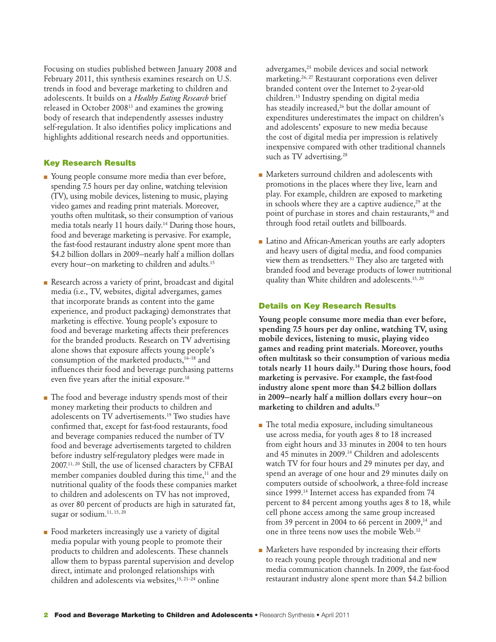Focusing on studies published between January 2008 and February 2011, this synthesis examines research on U.S. trends in food and beverage marketing to children and adolescents. It builds on a *Healthy Eating Research* brief released in October 200813 and examines the growing body of research that independently assesses industry self-regulation. It also identifies policy implications and highlights additional research needs and opportunities.

# Key Research Results

- Young people consume more media than ever before, spending 7.5 hours per day online, watching television (TV), using mobile devices, listening to music, playing video games and reading print materials. Moreover, youths often multitask, so their consumption of various media totals nearly 11 hours daily.<sup>14</sup> During those hours, food and beverage marketing is pervasive. For example, the fast-food restaurant industry alone spent more than \$4.2 billion dollars in 2009—nearly half a million dollars every hour—on marketing to children and adults.15
- Research across a variety of print, broadcast and digital media (i.e., TV, websites, digital advergames, games that incorporate brands as content into the game experience, and product packaging) demonstrates that marketing is effective. Young people's exposure to food and beverage marketing affects their preferences for the branded products. Research on TV advertising alone shows that exposure affects young people's consumption of the marketed products, $16-18$  and influences their food and beverage purchasing patterns even five years after the initial exposure.18
- The food and beverage industry spends most of their money marketing their products to children and adolescents on TV advertisements.19 Two studies have confirmed that, except for fast-food restaurants, food and beverage companies reduced the number of TV food and beverage advertisements targeted to children before industry self-regulatory pledges were made in 2007.11, 20 Still, the use of licensed characters by CFBAI member companies doubled during this time,<sup>11</sup> and the nutritional quality of the foods these companies market to children and adolescents on TV has not improved, as over 80 percent of products are high in saturated fat, sugar or sodium.<sup>11, 15, 20</sup>
- Food marketers increasingly use a variety of digital media popular with young people to promote their products to children and adolescents. These channels allow them to bypass parental supervision and develop direct, intimate and prolonged relationships with children and adolescents via websites,15, 21–24 online

advergames,<sup>25</sup> mobile devices and social network marketing.26, 27 Restaurant corporations even deliver branded content over the Internet to 2-year-old children.15 Industry spending on digital media has steadily increased,<sup>26</sup> but the dollar amount of expenditures underestimates the impact on children's and adolescents' exposure to new media because the cost of digital media per impression is relatively inexpensive compared with other traditional channels such as TV advertising.<sup>28</sup>

- Marketers surround children and adolescents with promotions in the places where they live, learn and play. For example, children are exposed to marketing in schools where they are a captive audience, $29$  at the point of purchase in stores and chain restaurants,<sup>30</sup> and through food retail outlets and billboards.
- Latino and African-American youths are early adopters and heavy users of digital media, and food companies view them as trendsetters.<sup>31</sup> They also are targeted with branded food and beverage products of lower nutritional quality than White children and adolescents.<sup>15, 20</sup>

### Details on Key Research Results

Young people consume more media than ever before, spending 7.5 hours per day online, watching TV, using mobile devices, listening to music, playing video games and reading print materials. Moreover, youths often multitask so their consumption of various media totals nearly 11 hours daily.<sup>14</sup> During those hours, food marketing is pervasive. For example, the fast-food industry alone spent more than \$4.2 billion dollars in 2009—nearly half a million dollars every hour—on marketing to children and adults.15

- The total media exposure, including simultaneous use across media, for youth ages 8 to 18 increased from eight hours and 33 minutes in 2004 to ten hours and 45 minutes in 2009.14 Children and adolescents watch TV for four hours and 29 minutes per day, and spend an average of one hour and 29 minutes daily on computers outside of schoolwork, a three-fold increase since 1999.<sup>14</sup> Internet access has expanded from 74 percent to 84 percent among youths ages 8 to 18, while cell phone access among the same group increased from 39 percent in 2004 to 66 percent in 2009, $14$  and one in three teens now uses the mobile Web.32
- Marketers have responded by increasing their efforts to reach young people through traditional and new media communication channels. In 2009, the fast-food restaurant industry alone spent more than \$4.2 billion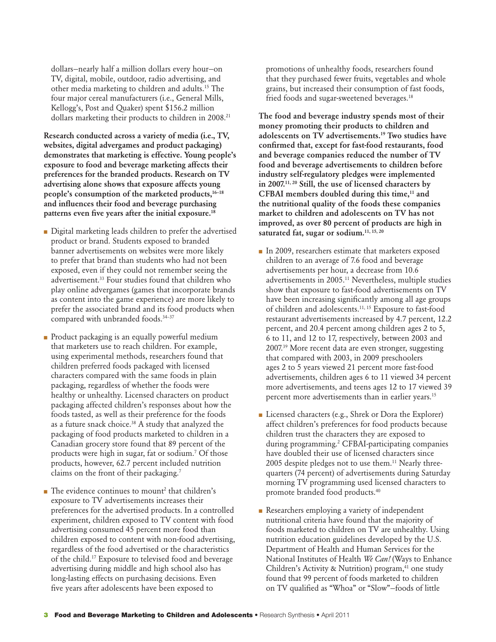dollars—nearly half a million dollars every hour—on TV, digital, mobile, outdoor, radio advertising, and other media marketing to children and adults.15 The four major cereal manufacturers (i.e., General Mills, Kellogg's, Post and Quaker) spent \$156.2 million dollars marketing their products to children in 2008.<sup>21</sup>

Research conducted across a variety of media (i.e., TV, websites, digital advergames and product packaging) demonstrates that marketing is effective. Young people's exposure to food and beverage marketing affects their preferences for the branded products. Research on TV advertising alone shows that exposure affects young people's consumption of the marketed products,<sup>16-18</sup> and influences their food and beverage purchasing patterns even five years after the initial exposure.18

- Digital marketing leads children to prefer the advertised product or brand. Students exposed to branded banner advertisements on websites were more likely to prefer that brand than students who had not been exposed, even if they could not remember seeing the advertisement.33 Four studies found that children who play online advergames (games that incorporate brands as content into the game experience) are more likely to prefer the associated brand and its food products when compared with unbranded foods.<sup>34-37</sup>
- Product packaging is an equally powerful medium that marketers use to reach children. For example, using experimental methods, researchers found that children preferred foods packaged with licensed characters compared with the same foods in plain packaging, regardless of whether the foods were healthy or unhealthy. Licensed characters on product packaging affected children's responses about how the foods tasted, as well as their preference for the foods as a future snack choice.<sup>38</sup> A study that analyzed the packaging of food products marketed to children in a Canadian grocery store found that 89 percent of the products were high in sugar, fat or sodium.7 Of those products, however, 62.7 percent included nutrition claims on the front of their packaging.7
- $\blacksquare$  The evidence continues to mount<sup>2</sup> that children's exposure to TV advertisements increases their preferences for the advertised products. In a controlled experiment, children exposed to TV content with food advertising consumed 45 percent more food than children exposed to content with non-food advertising, regardless of the food advertised or the characteristics of the child.17 Exposure to televised food and beverage advertising during middle and high school also has long-lasting effects on purchasing decisions. Even five years after adolescents have been exposed to

promotions of unhealthy foods, researchers found that they purchased fewer fruits, vegetables and whole grains, but increased their consumption of fast foods, fried foods and sugar-sweetened beverages.<sup>18</sup>

The food and beverage industry spends most of their money promoting their products to children and adolescents on TV advertisements.19 Two studies have confirmed that, except for fast-food restaurants, food and beverage companies reduced the number of TV food and beverage advertisements to children before industry self-regulatory pledges were implemented in 2007.11, 20 Still, the use of licensed characters by CFBAI members doubled during this time, $<sup>11</sup>$  and</sup> the nutritional quality of the foods these companies market to children and adolescents on TV has not improved, as over 80 percent of products are high in saturated fat, sugar or sodium.<sup>11, 15, 20</sup>

- In 2009, researchers estimate that marketers exposed children to an average of 7.6 food and beverage advertisements per hour, a decrease from 10.6 advertisements in 2005.11 Nevertheless, multiple studies show that exposure to fast-food advertisements on TV have been increasing significantly among all age groups of children and adolescents.11, 15 Exposure to fast-food restaurant advertisements increased by 4.7 percent, 12.2 percent, and 20.4 percent among children ages 2 to 5, 6 to 11, and 12 to 17, respectively, between 2003 and 2007.39 More recent data are even stronger, suggesting that compared with 2003, in 2009 preschoolers ages 2 to 5 years viewed 21 percent more fast-food advertisements, children ages 6 to 11 viewed 34 percent more advertisements, and teens ages 12 to 17 viewed 39 percent more advertisements than in earlier years.<sup>15</sup>
- Licensed characters (e.g., Shrek or Dora the Explorer) affect children's preferences for food products because children trust the characters they are exposed to during programming.2 CFBAI-participating companies have doubled their use of licensed characters since 2005 despite pledges not to use them.<sup>11</sup> Nearly threequarters (74 percent) of advertisements during Saturday morning TV programming used licensed characters to promote branded food products.40
- Researchers employing a variety of independent nutritional criteria have found that the majority of foods marketed to children on TV are unhealthy. Using nutrition education guidelines developed by the U.S. Department of Health and Human Services for the National Institutes of Health *We Can!* (Ways to Enhance Children's Activity & Nutrition) program,<sup>41</sup> one study found that 99 percent of foods marketed to children on TV qualified as "Whoa" or "Slow"—foods of little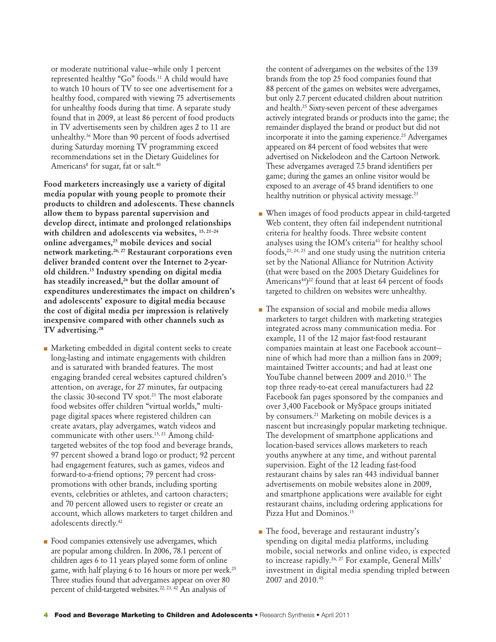or moderate nutritional value—while only 1 percent represented healthy "Go" foods.11 A child would have to watch 10 hours of TV to see one advertisement for a healthy food, compared with viewing 75 advertisements for unhealthy foods during that time. A separate study found that in 2009, at least 86 percent of food products in TV advertisements seen by children ages 2 to 11 are unhealthy.36 More than 90 percent of foods advertised during Saturday morning TV programming exceed recommendations set in the Dietary Guidelines for Americans<sup>8</sup> for sugar, fat or salt.<sup>40</sup>

Food marketers increasingly use a variety of digital media popular with young people to promote their products to children and adolescents. These channels allow them to bypass parental supervision and develop direct, intimate and prolonged relationships with children and adolescents via websites, <sup>15, 21-24</sup> online advergames,25 mobile devices and social network marketing.26, 27 Restaurant corporations even deliver branded content over the Internet to 2-yearold children.15 Industry spending on digital media has steadily increased,<sup>26</sup> but the dollar amount of expenditures underestimates the impact on children's and adolescents' exposure to digital media because the cost of digital media per impression is relatively inexpensive compared with other channels such as TV advertising.<sup>28</sup>

- Marketing embedded in digital content seeks to create long-lasting and intimate engagements with children and is saturated with branded features. The most engaging branded cereal websites captured children's attention, on average, for 27 minutes, far outpacing the classic 30-second TV spot.<sup>21</sup> The most elaborate food websites offer children "virtual worlds," multipage digital spaces where registered children can create avatars, play advergames, watch videos and communicate with other users.<sup>15, 21</sup> Among childtargeted websites of the top food and beverage brands, 97 percent showed a brand logo or product; 92 percent had engagement features, such as games, videos and forward-to-a-friend options; 79 percent had crosspromotions with other brands, including sporting events, celebrities or athletes, and cartoon characters; and 70 percent allowed users to register or create an account, which allows marketers to target children and adolescents directly.42
- Food companies extensively use advergames, which are popular among children. In 2006, 78.1 percent of children ages 6 to 11 years played some form of online game, with half playing 6 to 16 hours or more per week.<sup>25</sup> Three studies found that advergames appear on over 80 percent of child-targeted websites.<sup>22, 23, 42</sup> An analysis of

the content of advergames on the websites of the 139 brands from the top 25 food companies found that 88 percent of the games on websites were advergames, but only 2.7 percent educated children about nutrition and health.25 Sixty-seven percent of these advergames actively integrated brands or products into the game; the remainder displayed the brand or product but did not incorporate it into the gaming experience.<sup>25</sup> Advergames appeared on 84 percent of food websites that were advertised on Nickelodeon and the Cartoon Network. These advergames averaged 7.5 brand identifiers per game; during the games an online visitor would be exposed to an average of 45 brand identifiers to one healthy nutrition or physical activity message.<sup>23</sup>

- When images of food products appear in child-targeted Web content, they often fail independent nutritional criteria for healthy foods. Three website content analyses using the IOM's criteria<sup>43</sup> for healthy school foods,  $21, 24, 25$  and one study using the nutrition criteria set by the National Alliance for Nutrition Activity (that were based on the 2005 Dietary Guidelines for Americans<sup>44</sup>)<sup>22</sup> found that at least 64 percent of foods targeted to children on websites were unhealthy.
- The expansion of social and mobile media allows marketers to target children with marketing strategies integrated across many communication media. For example, 11 of the 12 major fast-food restaurant companies maintain at least one Facebook account nine of which had more than a million fans in 2009; maintained Twitter accounts; and had at least one YouTube channel between 2009 and 2010.<sup>15</sup> The top three ready-to-eat cereal manufacturers had 22 Facebook fan pages sponsored by the companies and over 3,400 Facebook or MySpace groups initiated by consumers.21 Marketing on mobile devices is a nascent but increasingly popular marketing technique. The development of smartphone applications and location-based services allows marketers to reach youths anywhere at any time, and without parental supervision. Eight of the 12 leading fast-food restaurant chains by sales ran 443 individual banner advertisements on mobile websites alone in 2009, and smartphone applications were available for eight restaurant chains, including ordering applications for Pizza Hut and Dominos.<sup>15</sup>
- The food, beverage and restaurant industry's spending on digital media platforms, including mobile, social networks and online video, is expected to increase rapidly.<sup>26, 27</sup> For example, General Mills' investment in digital media spending tripled between 2007 and 2010.45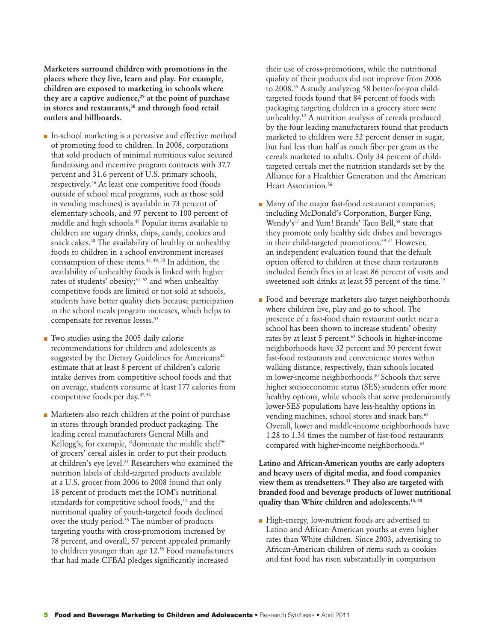Marketers surround children with promotions in the places where they live, learn and play. For example, children are exposed to marketing in schools where they are a captive audience, $29$  at the point of purchase in stores and restaurants,<sup>30</sup> and through food retail outlets and billboards.

- In-school marketing is a pervasive and effective method of promoting food to children. In 2008, corporations that sold products of minimal nutritious value secured fundraising and incentive program contracts with 37.7 percent and 31.6 percent of U.S. primary schools, respectively.46 At least one competitive food (foods outside of school meal programs, such as those sold in vending machines) is available in 73 percent of elementary schools, and 97 percent to 100 percent of middle and high schools.47 Popular items available to children are sugary drinks, chips, candy, cookies and snack cakes.48 The availability of healthy or unhealthy foods to children in a school environment increases consumption of these items.43, 49, 50 In addition, the availability of unhealthy foods is linked with higher rates of students' obesity;<sup>51, 52</sup> and when unhealthy competitive foods are limited or not sold at schools, students have better quality diets because participation in the school meals program increases, which helps to compensate for revenue losses.<sup>53</sup>
- Two studies using the 2005 daily calorie recommendations for children and adolescents as suggested by the Dietary Guidelines for Americans<sup>44</sup> estimate that at least 8 percent of children's caloric intake derives from competitive school foods and that on average, students consume at least 177 calories from competitive foods per day.47, 54
- Marketers also reach children at the point of purchase in stores through branded product packaging. The leading cereal manufacturers General Mills and Kellogg's, for example, "dominate the middle shelf" of grocers' cereal aisles in order to put their products at children's eye level.<sup>21</sup> Researchers who examined the nutrition labels of child-targeted products available at a U.S. grocer from 2006 to 2008 found that only 18 percent of products met the IOM's nutritional standards for competitive school foods,<sup>43</sup> and the nutritional quality of youth-targeted foods declined over the study period.<sup>55</sup> The number of products targeting youths with cross-promotions increased by 78 percent, and overall, 57 percent appealed primarily to children younger than age 12.55 Food manufacturers that had made CFBAI pledges significantly increased

their use of cross-promotions, while the nutritional quality of their products did not improve from 2006 to 2008.<sup>55</sup> A study analyzing 58 better-for-you childtargeted foods found that 84 percent of foods with packaging targeting children in a grocery store were unhealthy.12 A nutrition analysis of cereals produced by the four leading manufacturers found that products marketed to children were 52 percent denser in sugar, but had less than half as much fiber per gram as the cereals marketed to adults. Only 34 percent of childtargeted cereals met the nutrition standards set by the Alliance for a Healthier Generation and the American Heart Association.<sup>56</sup>

- Many of the major fast-food restaurant companies, including McDonald's Corporation, Burger King, Wendy's<sup>57</sup> and Yum! Brands' Taco Bell,<sup>58</sup> state that they promote only healthy side dishes and beverages in their child-targeted promotions.<sup>59-61</sup> However, an independent evaluation found that the default option offered to children at these chain restaurants included french fries in at least 86 percent of visits and sweetened soft drinks at least 55 percent of the time.<sup>15</sup>
- Food and beverage marketers also target neighborhoods where children live, play and go to school. The presence of a fast-food chain restaurant outlet near a school has been shown to increase students' obesity rates by at least 5 percent.<sup>62</sup> Schools in higher-income neighborhoods have 32 percent and 50 percent fewer fast-food restaurants and convenience stores within walking distance, respectively, than schools located in lower-income neighborhoods.<sup>30</sup> Schools that serve higher socioeconomic status (SES) students offer more healthy options, while schools that serve predominantly lower-SES populations have less-healthy options in vending machines, school stores and snack bars.<sup>63</sup> Overall, lower and middle-income neighborhoods have 1.28 to 1.34 times the number of fast-food restaurants compared with higher-income neighborhoods.<sup>64</sup>

Latino and African-American youths are early adopters and heavy users of digital media, and food companies view them as trendsetters.<sup>31</sup> They also are targeted with branded food and beverage products of lower nutritional quality than White children and adolescents.<sup>15, 20</sup>

■ High-energy, low-nutrient foods are advertised to Latino and African-American youths at even higher rates than White children. Since 2003, advertising to African-American children of items such as cookies and fast food has risen substantially in comparison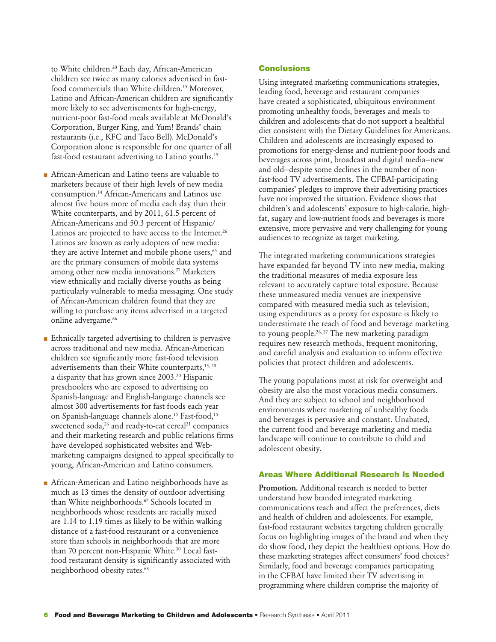to White children.<sup>20</sup> Each day, African-American children see twice as many calories advertised in fastfood commercials than White children.<sup>15</sup> Moreover, Latino and African-American children are significantly more likely to see advertisements for high-energy, nutrient-poor fast-food meals available at McDonald's Corporation, Burger King, and Yum! Brands' chain restaurants (i.e., KFC and Taco Bell). McDonald's Corporation alone is responsible for one quarter of all fast-food restaurant advertising to Latino youths.<sup>15</sup>

- African-American and Latino teens are valuable to marketers because of their high levels of new media consumption.14 African-Americans and Latinos use almost five hours more of media each day than their White counterparts, and by 2011, 61.5 percent of African-Americans and 50.3 percent of Hispanic/ Latinos are projected to have access to the Internet.<sup>26</sup> Latinos are known as early adopters of new media: they are active Internet and mobile phone users,<sup>65</sup> and are the primary consumers of mobile data systems among other new media innovations.27 Marketers view ethnically and racially diverse youths as being particularly vulnerable to media messaging. One study of African-American children found that they are willing to purchase any items advertised in a targeted online advergame.<sup>66</sup>
- Ethnically targeted advertising to children is pervasive across traditional and new media. African-American children see significantly more fast-food television advertisements than their White counterparts,<sup>15, 20</sup> a disparity that has grown since 2003.20 Hispanic preschoolers who are exposed to advertising on Spanish-language and English-language channels see almost 300 advertisements for fast foods each year on Spanish-language channels alone.15 Fast-food,15 sweetened soda, $26$  and ready-to-eat cereal $21$  companies and their marketing research and public relations firms have developed sophisticated websites and Webmarketing campaigns designed to appeal specifically to young, African-American and Latino consumers.
- African-American and Latino neighborhoods have as much as 13 times the density of outdoor advertising than White neighborhoods.<sup>67</sup> Schools located in neighborhoods whose residents are racially mixed are 1.14 to 1.19 times as likely to be within walking distance of a fast-food restaurant or a convenience store than schools in neighborhoods that are more than 70 percent non-Hispanic White.<sup>30</sup> Local fastfood restaurant density is significantly associated with neighborhood obesity rates.<sup>68</sup>

#### **Conclusions**

Using integrated marketing communications strategies, leading food, beverage and restaurant companies have created a sophisticated, ubiquitous environment promoting unhealthy foods, beverages and meals to children and adolescents that do not support a healthful diet consistent with the Dietary Guidelines for Americans. Children and adolescents are increasingly exposed to promotions for energy-dense and nutrient-poor foods and beverages across print, broadcast and digital media—new and old—despite some declines in the number of nonfast-food TV advertisements. The CFBAI-participating companies' pledges to improve their advertising practices have not improved the situation. Evidence shows that children's and adolescents' exposure to high-calorie, highfat, sugary and low-nutrient foods and beverages is more extensive, more pervasive and very challenging for young audiences to recognize as target marketing.

The integrated marketing communications strategies have expanded far beyond TV into new media, making the traditional measures of media exposure less relevant to accurately capture total exposure. Because these unmeasured media venues are inexpensive compared with measured media such as television, using expenditures as a proxy for exposure is likely to underestimate the reach of food and beverage marketing to young people.<sup>26, 27</sup> The new marketing paradigm requires new research methods, frequent monitoring, and careful analysis and evaluation to inform effective policies that protect children and adolescents.

The young populations most at risk for overweight and obesity are also the most voracious media consumers. And they are subject to school and neighborhood environments where marketing of unhealthy foods and beverages is pervasive and constant. Unabated, the current food and beverage marketing and media landscape will continue to contribute to child and adolescent obesity.

# Areas Where Additional Research Is Needed

Promotion. Additional research is needed to better understand how branded integrated marketing communications reach and affect the preferences, diets and health of children and adolescents. For example, fast-food restaurant websites targeting children generally focus on highlighting images of the brand and when they do show food, they depict the healthiest options. How do these marketing strategies affect consumers' food choices? Similarly, food and beverage companies participating in the CFBAI have limited their TV advertising in programming where children comprise the majority of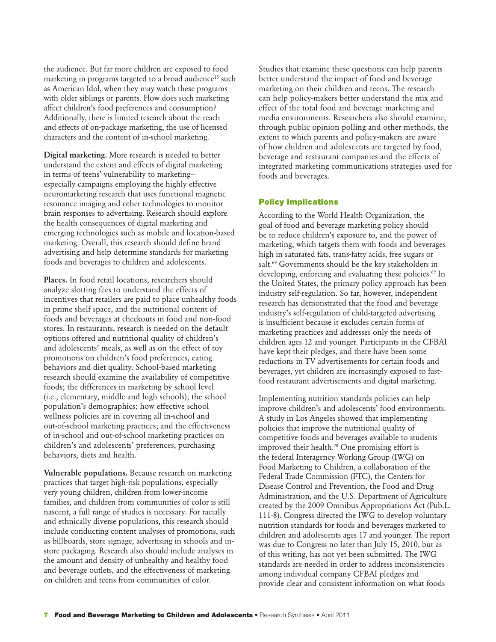the audience. But far more children are exposed to food marketing in programs targeted to a broad audience<sup>15</sup> such as American Idol, when they may watch these programs with older siblings or parents. How does such marketing affect children's food preferences and consumption? Additionally, there is limited research about the reach and effects of on-package marketing, the use of licensed characters and the content of in-school marketing.

Digital marketing. More research is needed to better understand the extent and effects of digital marketing in terms of teens' vulnerability to marketing especially campaigns employing the highly effective neuromarketing research that uses functional magnetic resonance imaging and other technologies to monitor brain responses to advertising. Research should explore the health consequences of digital marketing and emerging technologies such as mobile and location-based marketing. Overall, this research should define brand advertising and help determine standards for marketing foods and beverages to children and adolescents.

Places. In food retail locations, researchers should analyze slotting fees to understand the effects of incentives that retailers are paid to place unhealthy foods in prime shelf space, and the nutritional content of foods and beverages at checkouts in food and non-food stores. In restaurants, research is needed on the default options offered and nutritional quality of children's and adolescents' meals, as well as on the effect of toy promotions on children's food preferences, eating behaviors and diet quality. School-based marketing research should examine the availability of competitive foods; the differences in marketing by school level (i.e., elementary, middle and high schools); the school population's demographics; how effective school wellness policies are in covering all in-school and out-of-school marketing practices; and the effectiveness of in-school and out-of-school marketing practices on children's and adolescents' preferences, purchasing behaviors, diets and health.

Vulnerable populations. Because research on marketing practices that target high-risk populations, especially very young children, children from lower-income families, and children from communities of color is still nascent, a full range of studies is necessary. For racially and ethnically diverse populations, this research should include conducting content analyses of promotions, such as billboards, store signage, advertising in schools and instore packaging. Research also should include analyses in the amount and density of unhealthy and healthy food and beverage outlets, and the effectiveness of marketing on children and teens from communities of color.

Studies that examine these questions can help parents better understand the impact of food and beverage marketing on their children and teens. The research can help policy-makers better understand the mix and effect of the total food and beverage marketing and media environments. Researchers also should examine, through public opinion polling and other methods, the extent to which parents and policy-makers are aware of how children and adolescents are targeted by food, beverage and restaurant companies and the effects of integrated marketing communications strategies used for foods and beverages.

### Policy Implications

According to the World Health Organization, the goal of food and beverage marketing policy should be to reduce children's exposure to, and the power of marketing, which targets them with foods and beverages high in saturated fats, trans-fatty acids, free sugars or salt.<sup>69</sup> Governments should be the key stakeholders in developing, enforcing and evaluating these policies.<sup>69</sup> In the United States, the primary policy approach has been industry self-regulation. So far, however, independent research has demonstrated that the food and beverage industry's self-regulation of child-targeted advertising is insufficient because it excludes certain forms of marketing practices and addresses only the needs of children ages 12 and younger. Participants in the CFBAI have kept their pledges, and there have been some reductions in TV advertisements for certain foods and beverages, yet children are increasingly exposed to fastfood restaurant advertisements and digital marketing.

Implementing nutrition standards policies can help improve children's and adolescents' food environments. A study in Los Angeles showed that implementing policies that improve the nutritional quality of competitive foods and beverages available to students improved their health.<sup>70</sup> One promising effort is the federal Interagency Working Group (IWG) on Food Marketing to Children, a collaboration of the Federal Trade Commission (FTC), the Centers for Disease Control and Prevention, the Food and Drug Administration, and the U.S. Department of Agriculture created by the 2009 Omnibus Appropriations Act (Pub.L. 111-8). Congress directed the IWG to develop voluntary nutrition standards for foods and beverages marketed to children and adolescents ages 17 and younger. The report was due to Congress no later than July 15, 2010, but as of this writing, has not yet been submitted. The IWG standards are needed in order to address inconsistencies among individual company CFBAI pledges and provide clear and consistent information on what foods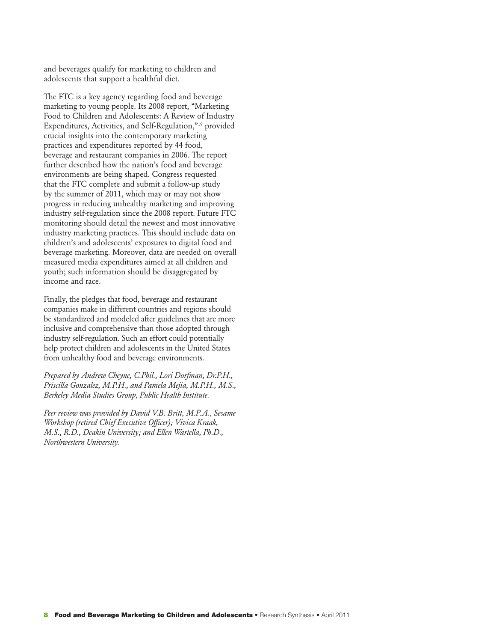and beverages qualify for marketing to children and adolescents that support a healthful diet.

The FTC is a key agency regarding food and beverage marketing to young people. Its 2008 report, "Marketing Food to Children and Adolescents: A Review of Industry Expenditures, Activities, and Self-Regulation,"19 provided crucial insights into the contemporary marketing practices and expenditures reported by 44 food, beverage and restaurant companies in 2006. The report further described how the nation's food and beverage environments are being shaped. Congress requested that the FTC complete and submit a follow-up study by the summer of 2011, which may or may not show progress in reducing unhealthy marketing and improving industry self-regulation since the 2008 report. Future FTC monitoring should detail the newest and most innovative industry marketing practices. This should include data on children's and adolescents' exposures to digital food and beverage marketing. Moreover, data are needed on overall measured media expenditures aimed at all children and youth; such information should be disaggregated by income and race.

Finally, the pledges that food, beverage and restaurant companies make in different countries and regions should be standardized and modeled after guidelines that are more inclusive and comprehensive than those adopted through industry self-regulation. Such an effort could potentially help protect children and adolescents in the United States from unhealthy food and beverage environments.

*Prepared by Andrew Cheyne, C.Phil., Lori Dorfman, Dr.P.H., Priscilla Gonzalez, M.P.H., and Pamela Mejia, M.P.H., M.S., Berkeley Media Studies Group, Public Health Institute.*

*Peer review was provided by David V.B. Britt, M.P.A., Sesame Workshop (retired Chief Executive Officer); Vivica Kraak, M.S., R.D., Deakin University; and Ellen Wartella, Ph.D., Northwestern University.*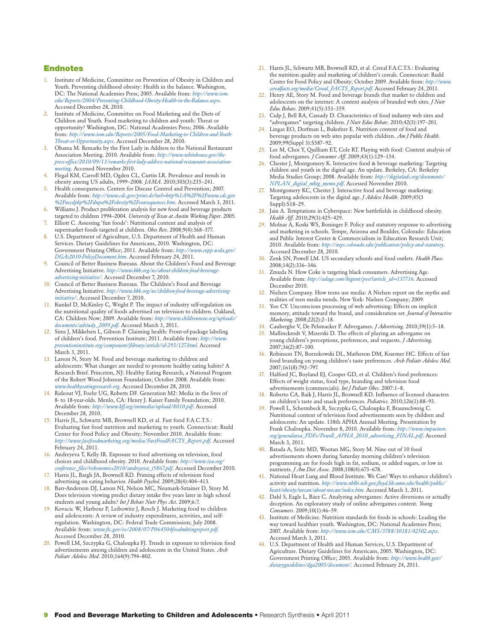#### Endnotes

- 1. Institute of Medicine, Committee on Prevention of Obesity in Children and Youth. Preventing childhood obesity: Health in the balance. Washington, DC: The National Academies Press; 2005. Available from: *http://www.iom. edu/Reports/2004/Preventing-Childhood-Obesity-Health-in-the-Balance.aspx*. Accessed December 28, 2010.
- 2. Institute of Medicine, Committee on Food Marketing and the Diets of Children and Youth. Food marketing to children and youth: Threat or opportunity? Washington, DC: National Academies Press; 2006. Available from: *http://www.iom.edu/Reports/2005/Food-Marketing-to-Children-and-Youth-Threat-or-Opportunity.aspx*. Accessed December 28, 2010.
- 3. Obama M. Remarks by the First Lady in Address to the National Restaurant Association Meeting. 2010. Available from: *http://www.whitehouse.gov/thepress-office/2010/09/13/remarks-first-lady-address-national-restaurant-associationmeeting*. Accessed November 2010.
- Flegal KM, Carroll MD, Ogden CL, Curtin LR. Prevalence and trends in obesity among US adults, 1999–2008. *JAMA*. 2010;303(3):235–241.
- 5. Health consequences. Centers for Disease Control and Prevention; 2007. Available from: *http://www.cdc.gov/print.do?url=http%3A%2F%2Fwww.cdc.gov %2Fnccdphp%2Fdnpa%2Fobesity%2Fconsequences.htm*. Accessed March 3, 2011.
- Williams J. Product proliferation analysis for new food and beverage products targeted to children 1994–2004. *University of Texas at Austin Working Paper*. 2005.
- Elliott C. Assessing 'fun foods': Nutritional content and analysis of supermarket foods targeted at children. *Obes Rev*. 2008;9(4):368–377.
- 8. U.S. Department of Agriculture, U.S. Department of Health and Human Services. Dietary Guidelines for Americans, 2010. Washington, DC: Government Printing Office; 2011. Available from: *http://www.cnpp.usda.gov/ DGAs2010-PolicyDocument.htm*. Accessed February 24, 2011.
- 9. Council of Better Business Bureaus. About the Children's Food and Beverage Advertising Initiative. *http://www.bbb.org/us/about-children-food-beverageadvertising-initiative/*. Accessed December 7, 2010.
- 10. Council of Better Business Bureaus. The Children's Food and Beverage Advertising Initiative. *http://www.bbb.org/us/children-food-beverage-advertisinginitiative/*. Accessed December 7, 2010.
- 11. Kunkel D, McKinley C, Wright P. The impact of industry self-regulation on the nutritional quality of foods advertised on television to children. Oakland, CA: Children Now; 2009. Available from: *http://www.childrennow.org/uploads/ documents/adstudy\_2009.pdf*. Accessed March 3, 2011.
- 12. Sims J, Mikkelsen L, Gibson P. Claiming health: Front-of-package labeling of children's food. Prevention Institute; 2011. Available from: *http://www. preventioninstitute.org/component/jlibrary/article/id-293/127.html*. Accessed March 3, 2011.
- 13. Larson N, Story M. Food and beverage marketing to children and adolescents: What changes are needed to promote healthy eating habits? A Research Brief. Princeton, NJ: Healthy Eating Research, a National Program of the Robert Wood Johnson Foundation; October 2008. Available from: *www.healthyeatingresearch.org*. Accessed December 28, 2010.
- 14. Rideout VJ, Foehr UG, Roberts DF. Generation M2: Media in the lives of 8- to 18-year-olds. Menlo, CA: Henry J. Kaiser Family Foundation; 2010. Available from: *http://www.kff.org/entmedia/upload/8010.pdf*. Accessed December 28, 2010.
- 15. Harris JL, Schwartz MB, Brownell KD, et al. Fast food F.A.C.T.S.: Evaluating fast food nutrition and marketing to youth. Connecticut: Rudd Center for Food Policy and Obesity; November 2010. Available from: *http://www.fastfoodmarketing.org/media/FastFoodFACTS\_Report.pdf*. Accessed February 24, 2011.
- 16. Andreyeva T, Kelly IR. Exposure to food advertising on television, food choices and childhood obesity. 2010. Available from: http://ww *conference\_files/riskonomics2010/andreyeva\_t5867.pdf*. Accessed December 2010.
- 17. Harris JL, Bargh JA, Brownell KD. Priming effects of television food advertising on eating behavior. *Health Psychol*. 2009;28(4):404–413.
- 18. Barr-Anderson DJ, Larson NI, Nelson MC, Neumark-Sztainer D, Story M. Does television viewing predict dietary intake five years later in high school students and young adults? *Int J Behav Nutr Phys Act*. 2009;6:7.
- 19. Kovacic W, Harbour P, Leibowitz J, Rosch J. Marketing food to children and adolescents: A review of industry expenditures, activities, and selfregulation. Washington, DC: Federal Trade Commission; July 2008. Available from: *www.ftc.gov/os/2008/07/P064504foodmktingreport.pdf*. Accessed December 28, 2010.
- 20. Powell LM, Szczypka G, Chaloupka FJ. Trends in exposure to television food advertisements among children and adolescents in the United States. *Arch Pediatr Adolesc Med*. 2010;164(9):794–802.
- 21. Harris JL, Schwartz MB, Brownell KD, et al. Cereal F.A.C.T.S.: Evaluating the nutrition quality and marketing of children's cereals. Connecticut: Rudd Center for Food Policy and Obesity; October 2009. Available from: http://w *cerealfacts.org/media/Cereal\_FACTS\_Report.pdf*. Accessed February 24, 2011.
- 22. Henry AE, Story M. Food and beverage brands that market to children and adolescents on the internet: A content analysis of branded web sites. *J Nutr Educ Behav*. 2009;41(5):353–359.
- 23. Culp J, Bell RA, Cassady D. Characteristics of food industry web sites and "advergames" targeting children. *J Nutr Educ Behav*. 2010;42(3):197–201.
- 24. Lingas EO, Dorfman L, Bukofzer E. Nutrition content of food and beverage products on web sites popular with children. *Am J Public Health*. 2009;99(Suppl 3):S587–92.
- 25. Lee M, Choi Y, Quilliam ET, Cole RT. Playing with food: Content analysis of food advergames. *J Consumer Aff*. 2009;43(1):129–154.
- 26. Chester J, Montgomery K. Interactive food & beverage marketing: Targeting children and youth in the digital age. An update. Berkeley, CA: Berkeley Media Studies Group; 2008. Available from: *http://digitalads.org/documents/ NPLAN\_digital\_mktg\_memo.pdf*. Accessed November 2010.
- 27. Montgomery KC, Chester J. Interactive food and beverage marketing: Targeting adolescents in the digital age. *J Adolesc Health*. 2009;45(3 Suppl):S18–29.
- 28. Jain A. Temptations in Cyberspace: New battlefields in childhood obesity. *Health Aff*. 2010;29(3):425–429.
- 29. Molnar A, Koski WS, Boninger F. Policy and statutory response to advertising and marketing in schools. Tempe, Arizona and Boulder, Colorado: Education and Public Interest Center & Commercialism in Education Research Unit; 2010. Available from: *http://nepc.colorado.edu/publication/policy-and-statutory*. Accessed December 28, 2010.
- 30. Zenk SN, Powell LM. US secondary schools and food outlets. *Health Place*. 2008;14(2):336–346.
- 31. Zmuda N. How Coke is targeting black consumers. Advertising Age. Available from: *http://adage.com/bigtent/post?article\_id=137716*. Accessed December 2010.
- 32. Nielsen Company. How teens use media: A Nielsen report on the myths and realities of teen media trends. New York: Nielsen Company; 2009.
- 33. Yoo CY. Unconscious processing of web advertising: Effects on implicit memory, attitude toward the brand, and consideration set. *Journal of Interactive Marketing*. 2008;22(2):2–18.
- 34. Cauberghe V, De Pelsmacker P. Advergames. *J Advertising*. 2010;39(1):5–18.
- 35. Mallinckrodt V, Mizerski D. The effects of playing an advergame on young children's perceptions, preferences, and requests. *J Advertising*. 2007;36(2):87–100.
- 36. Robinson TN, Borzekowski DL, Matheson DM, Kraemer HC. Effects of fast food branding on young children's taste preferences. *Arch Pediatr Adolesc Med*. 2007;161(8):792–797.
- 37. Halford JC, Boyland EJ, Cooper GD, et al. Children's food preferences: Effects of weight status, food type, branding and television food advertisements (commercials). *Int J Pediatr Obes*. 2007:1–8.
- 38. Roberto CA, Baik J, Harris JL, Brownell KD. Influence of licensed characters on children's taste and snack preferences. *Pediatrics*. 2010;126(1):88–93.
- 39. Powell L, Schermbeck R, Szczypka G, Chaloupka F, Braunschweig C. Nutritional content of television food advertisements seen by children and adolescents: An update. 138th APHA Annual Meeting. Presentation by Frank Chaloupka. November 8, 2010. Available from: *http://www.impacteen. org/generalarea\_PDFs/Powell\_APHA\_2010\_advertising\_FINAL.pdf*. Accessed March 3, 2011.
- 40. Batada A, Seitz MD, Wootan MG, Story M. Nine out of 10 food advertisements shown during Saturday morning children's television programming are for foods high in fat, sodium, or added sugars, or low in nutrients. *J Am Diet Assoc*. 2008;108(4):673–678.
- 41. National Heart Lung and Blood Institute. We Can! Ways to enhance children's activity and nutrition. *http://www.nhlbi.nih.gov.floyd.lib.umn.edu/health/public/ heart/obesity/wecan/about-wecan/index.htm*. Accessed March 3, 2011.
- 42. Dahl S, Eagle L, Báez C. Analyzing advergames: Active diversions or actually deception. An exploratory study of online advergames content. *Young Consumers*. 2009;10(1):46–59.
- 43. Institute of Medicine. Nutrition standards for foods in schools: Leading the way toward healthier youth. Washington, DC: National Academies Press; 2007. Available from: *http://www.iom.edu/CMS/3788/30181/42502.aspx*. Accessed March 3, 2011.
- 44. U.S. Department of Health and Human Services, U.S. Department of Agriculture. Dietary Guidelines for Americans, 2005. Washington, DC: Government Printing Office; 2005. Available from: *http://www.health.gov/ dietaryguidelines/dga2005/document/*. Accessed February 24, 2011.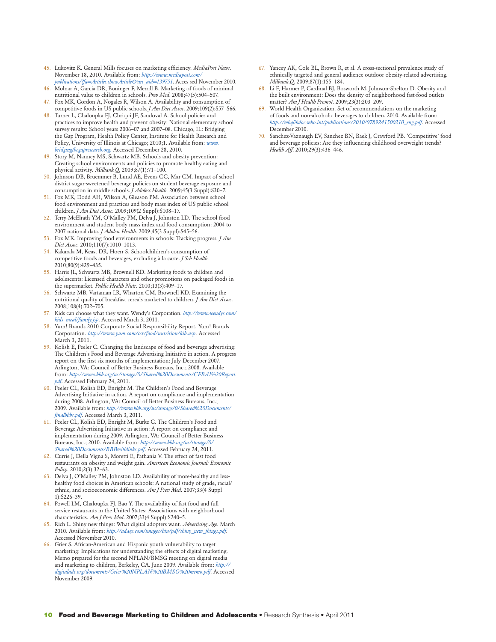- 45. Lukovitz K. General Mills focuses on marketing efficiency. *MediaPost News*. November 18, 2010. Available from: *http://www.mediapost.com/ publications/?fa=Articles.showArticle&art\_aid=139751*. Acces sed November 2010.
- 46. Molnar A, Garcia DR, Boninger F, Merrill B. Marketing of foods of minimal nutritional value to children in schools. *Prev Med*. 2008;47(5):504–507.
- Fox MK, Gordon A, Nogales R, Wilson A. Availability and consumption of competitive foods in US public schools. *J Am Diet Assoc*. 2009;109(2):S57–S66.
- 48. Turner L, Chaloupka FJ, Chriqui JF, Sandoval A. School policies and practices to improve health and prevent obesity: National elementary school survey results: School years 2006–07 and 2007–08. Chicago, IL: Bridging the Gap Program, Health Policy Center, Institute for Health Research and Policy, University of Illinois at Chicago; 2010;1. Available from: *www. bridgingthegapresearch.org.* Accessed December 28, 2010.
- 49. Story M, Nanney MS, Schwartz MB. Schools and obesity prevention: Creating school environments and policies to promote healthy eating and physical activity. *Milbank Q*. 2009;87(1):71–100.
- 50. Johnson DB, Bruemmer B, Lund AE, Evens CC, Mar CM. Impact of school district sugar-sweetened beverage policies on student beverage exposure and consumption in middle schools. *J Adolesc Health*. 2009;45(3 Suppl):S30–7.
- 51. Fox MK, Dodd AH, Wilson A, Gleason PM. Association between school food environment and practices and body mass index of US public school children. *J Am Diet Assoc*. 2009;109(2 Suppl):S108–17.
- 52. Terry-McElrath YM, O'Malley PM, Delva J, Johnston LD. The school food environment and student body mass index and food consumption: 2004 to 2007 national data. *J Adolesc Health*. 2009;45(3 Suppl):S45–56.
- 53. Fox MK. Improving food environments in schools: Tracking progress. *J Am Diet Assoc*. 2010;110(7):1010–1013.
- 54. Kakarala M, Keast DR, Hoerr S. Schoolchildren's consumption of competitive foods and beverages, excluding à la carte. *J Sch Health*. 2010;80(9):429–435.
- 55. Harris JL, Schwartz MB, Brownell KD. Marketing foods to children and adolescents: Licensed characters and other promotions on packaged foods in the supermarket. *Public Health Nutr*. 2010;13(3):409–17.
- 56. Schwartz MB, Vartanian LR, Wharton CM, Brownell KD. Examining the nutritional quality of breakfast cereals marketed to children. *J Am Diet Assoc*. 2008;108(4):702–705.
- 57. Kids can choose what they want. Wendy's Corporation. *http://www.wendys.com/ kids\_meal/family.jsp*. Accessed March 3, 2011.
- 58. Yum! Brands 2010 Corporate Social Responsibility Report. Yum! Brands Corporation. *http://www.yum.com/csr/food/nutrition/kib.asp*. Accessed March 3, 2011.
- 59. Kolish E, Peeler C. Changing the landscape of food and beverage advertising: The Children's Food and Beverage Advertising Initiative in action. A progress report on the first six months of implementation: July-December 2007. Arlington, VA: Council of Better Business Bureaus, Inc.; 2008. Available from: *http://www.bbb.org/us/storage/0/Shared%20Documents/CFBAI%20Report. pdf*. Accessed February 24, 2011.
- 60. Peeler CL, Kolish ED, Enright M. The Children's Food and Beverage Advertising Initiative in action. A report on compliance and implementation during 2008. Arlington, VA: Council of Better Business Bureaus, Inc.; 2009. Available from: *http://www.bbb.org/us/storage/0/Shared%20Documents/ finalbbbs.pdf*. Accessed March 3, 2011.
- 61. Peeler CL, Kolish ED, Enright M, Burke C. The Children's Food and Beverage Advertising Initiative in action: A report on compliance and implementation during 2009. Arlington, VA: Council of Better Business Bureaus, Inc.; 2010. Available from: *http://www.bbb.org/us/storage/0/ Shared%20Documents/BBBwithlinks.pdf*. Accessed February 24, 2011.
- 62. Currie J, Della Vigna S, Moretti E, Pathania V. The effect of fast food restaurants on obesity and weight gain. *American Economic Journal: Economic Policy*. 2010;2(3):32–63.
- 63. Delva J, O'Malley PM, Johnston LD. Availability of more-healthy and lesshealthy food choices in American schools: A national study of grade, racial/ ethnic, and socioeconomic differences. *Am J Prev Med*. 2007;33(4 Suppl 1):S226–39.
- 64. Powell LM, Chaloupka FJ, Bao Y. The availability of fast-food and fullservice restaurants in the United States: Associations with neighborhood characteristics. *Am J Prev Med*. 2007;33(4 Suppl):S240–5.
- 65. Rich L. Shiny new things: What digital adopters want. *Advertising Age*. March 2010. Available from: *http://adage.com/images/bin/pdf/shiny\_new\_things.pdf*. Accessed November 2010.
- 66. Grier S. African-American and Hispanic youth vulnerability to target marketing: Implications for understanding the effects of digital marketing. Memo prepared for the second NPLAN/BMSG meeting on digital media and marketing to children, Berkeley, CA. June 2009. Available from: *http:// digitalads.org/documents/Grier%20NPLAN%20BMSG%20memo.pdf*. Accessed November 2009.
- 67. Yancey AK, Cole BL, Brown R, et al. A cross-sectional prevalence study of ethnically targeted and general audience outdoor obesity-related advertising. *Milbank Q*. 2009;87(1):155–184.
- 68. Li F, Harmer P, Cardinal BJ, Bosworth M, Johnson-Shelton D. Obesity and the built environment: Does the density of neighborhood fast-food outlets matter? *Am J Health Promot*. 2009;23(3):203–209.
- 69. World Health Organization. Set of recommendations on the marketing of foods and non-alcoholic beverages to children. 2010. Available from: *http://whqlibdoc.who.int/publications/2010/9789241500210\_eng.pdf*. Accessed December 2010.
- 70. Sanchez-Vaznaugh EV, Sanchez BN, Baek J, Crawford PB. 'Competitive' food and beverage policies: Are they influencing childhood overweight trends? *Health Aff*. 2010;29(3):436–446.